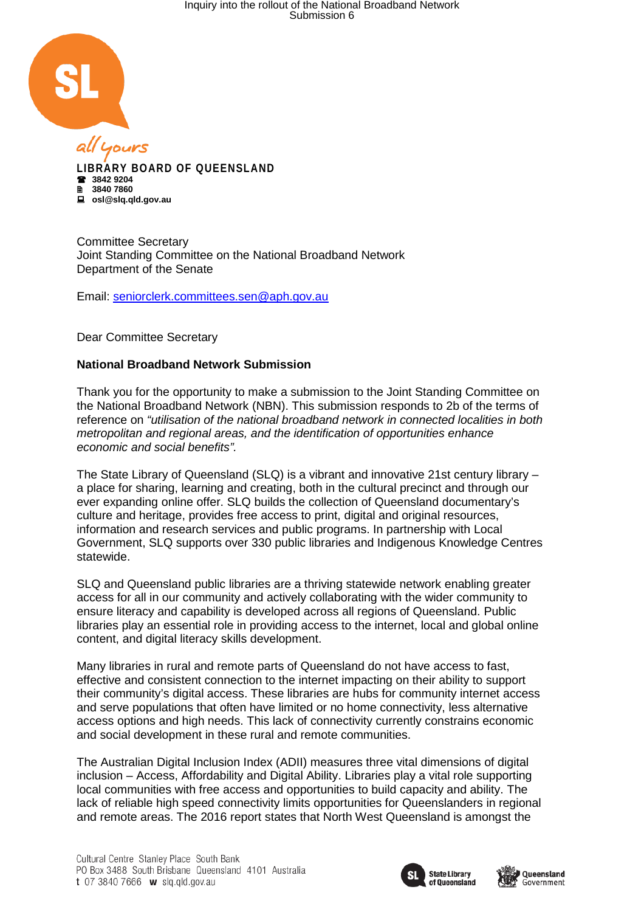

**LIBRARY BOARD OF QUEENSLAND 3842 9204 3840 7860 osl@slq.qld.gov.au**

Committee Secretary Joint Standing Committee on the National Broadband Network Department of the Senate

Email: [seniorclerk.committees.sen@aph.gov.au](mailto:seniorclerk.committees.sen@aph.gov.au)

Dear Committee Secretary

## **National Broadband Network Submission**

Thank you for the opportunity to make a submission to the Joint Standing Committee on the National Broadband Network (NBN). This submission responds to 2b of the terms of reference on *"utilisation of the national broadband network in connected localities in both metropolitan and regional areas, and the identification of opportunities enhance economic and social benefits".*

The State Library of Queensland (SLQ) is a vibrant and innovative 21st century library – a place for sharing, learning and creating, both in the cultural precinct and through our ever expanding online offer. SLQ builds the collection of Queensland documentary's culture and heritage, provides free access to print, digital and original resources, information and research services and public programs. In partnership with Local Government, SLQ supports over 330 public libraries and Indigenous Knowledge Centres statewide.

SLQ and Queensland public libraries are a thriving statewide network enabling greater access for all in our community and actively collaborating with the wider community to ensure literacy and capability is developed across all regions of Queensland. Public libraries play an essential role in providing access to the internet, local and global online content, and digital literacy skills development.

Many libraries in rural and remote parts of Queensland do not have access to fast, effective and consistent connection to the internet impacting on their ability to support their community's digital access. These libraries are hubs for community internet access and serve populations that often have limited or no home connectivity, less alternative access options and high needs. This lack of connectivity currently constrains economic and social development in these rural and remote communities.

The Australian Digital Inclusion Index (ADII) measures three vital dimensions of digital inclusion – Access, Affordability and Digital Ability. Libraries play a vital role supporting local communities with free access and opportunities to build capacity and ability. The lack of reliable high speed connectivity limits opportunities for Queenslanders in regional and remote areas. The 2016 report states that North West Queensland is amongst the